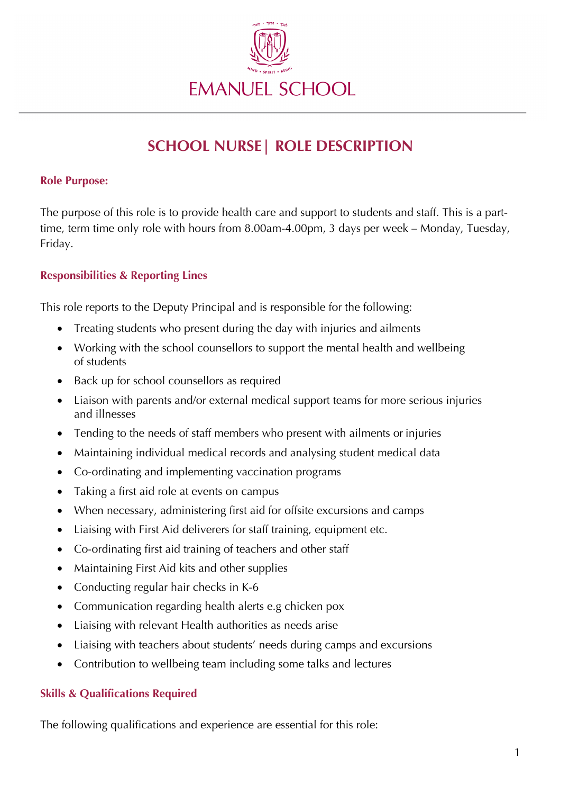

# **SCHOOL NURSE| ROLE DESCRIPTION**

#### **Role Purpose:**

The purpose of this role is to provide health care and support to students and staff. This is a parttime, term time only role with hours from 8.00am-4.00pm, 3 days per week – Monday, Tuesday, Friday.

### **Responsibilities & Reporting Lines**

This role reports to the Deputy Principal and is responsible for the following:

- Treating students who present during the day with injuries and ailments
- Working with the school counsellors to support the mental health and wellbeing of students
- Back up for school counsellors as required
- Liaison with parents and/or external medical support teams for more serious injuries and illnesses
- Tending to the needs of staff members who present with ailments or injuries
- Maintaining individual medical records and analysing student medical data
- Co-ordinating and implementing vaccination programs
- Taking a first aid role at events on campus
- When necessary, administering first aid for offsite excursions and camps
- Liaising with First Aid deliverers for staff training, equipment etc.
- Co-ordinating first aid training of teachers and other staff
- Maintaining First Aid kits and other supplies
- Conducting regular hair checks in K-6
- Communication regarding health alerts e.g chicken pox
- Liaising with relevant Health authorities as needs arise
- Liaising with teachers about students' needs during camps and excursions
- Contribution to wellbeing team including some talks and lectures

## **Skills & Qualifications Required**

The following qualifications and experience are essential for this role: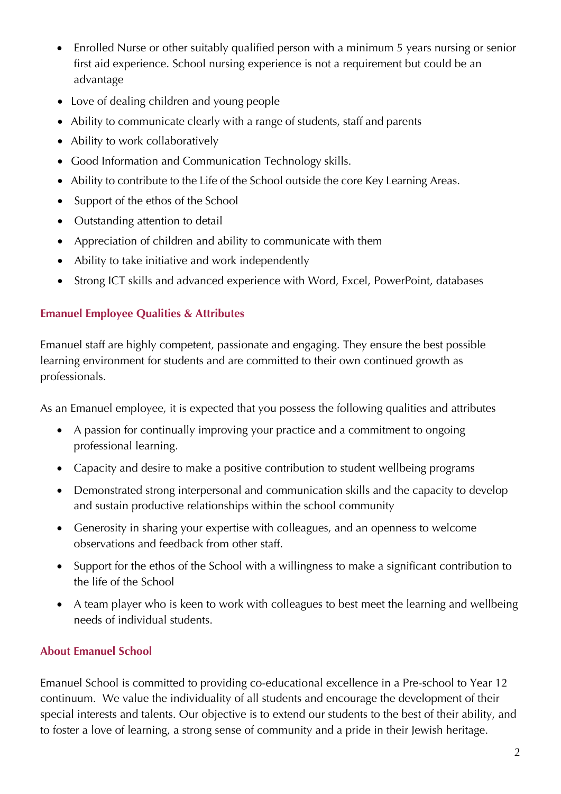- Enrolled Nurse or other suitably qualified person with a minimum 5 years nursing or senior first aid experience. School nursing experience is not a requirement but could be an advantage
- Love of dealing children and young people
- Ability to communicate clearly with a range of students, staff and parents
- Ability to work collaboratively
- Good Information and Communication Technology skills.
- Ability to contribute to the Life of the School outside the core Key Learning Areas.
- Support of the ethos of the School
- Outstanding attention to detail
- Appreciation of children and ability to communicate with them
- Ability to take initiative and work independently
- Strong ICT skills and advanced experience with Word, Excel, PowerPoint, databases

## **Emanuel Employee Qualities & Attributes**

Emanuel staff are highly competent, passionate and engaging. They ensure the best possible learning environment for students and are committed to their own continued growth as professionals.

As an Emanuel employee, it is expected that you possess the following qualities and attributes

- A passion for continually improving your practice and a commitment to ongoing professional learning.
- Capacity and desire to make a positive contribution to student wellbeing programs
- Demonstrated strong interpersonal and communication skills and the capacity to develop and sustain productive relationships within the school community
- Generosity in sharing your expertise with colleagues, and an openness to welcome observations and feedback from other staff.
- Support for the ethos of the School with a willingness to make a significant contribution to the life of the School
- A team player who is keen to work with colleagues to best meet the learning and wellbeing needs of individual students.

# **About Emanuel School**

Emanuel School is committed to providing co-educational excellence in a Pre-school to Year 12 continuum. We value the individuality of all students and encourage the development of their special interests and talents. Our objective is to extend our students to the best of their ability, and to foster a love of learning, a strong sense of community and a pride in their Jewish heritage.